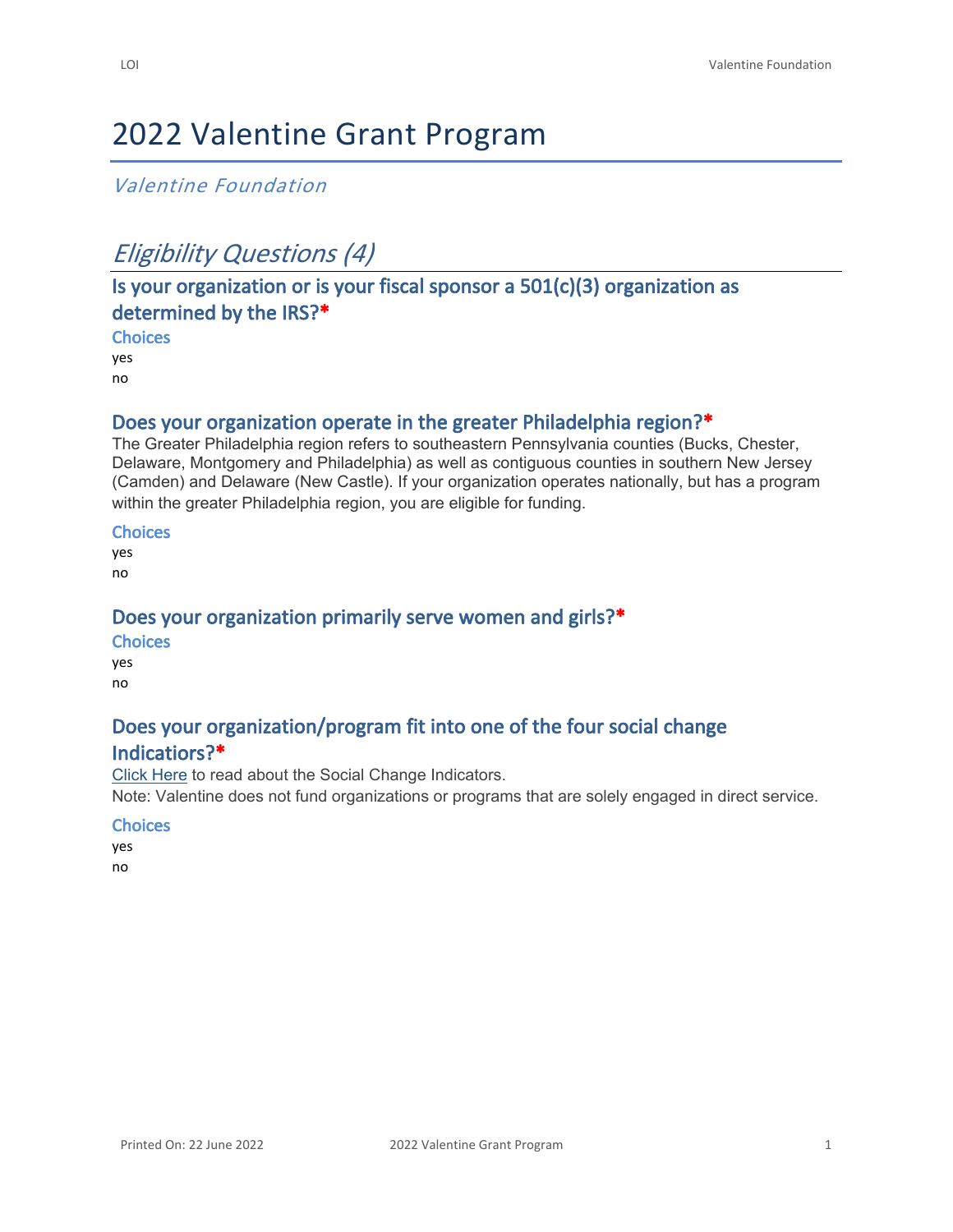# 2022 Valentine Grant Program

## *Valentine Foundation*

# *Eligibility Questions (4)*

# **Is your organization or is your fiscal sponsor a 501(c)(3) organization as determined by the IRS?\***

**Choices**

yes

no

## **Does your organization operate in the greater Philadelphia region?\***

The Greater Philadelphia region refers to southeastern Pennsylvania counties (Bucks, Chester, Delaware, Montgomery and Philadelphia) as well as contiguous counties in southern New Jersey (Camden) and Delaware (New Castle). If your organization operates nationally, but has a program within the greater Philadelphia region, you are eligible for funding.

#### **Choices**

yes no

### **Does your organization primarily serve women and girls?\***

#### **Choices**

yes no

# **Does your organization/program fit into one of the four social change**

## **Indicatiors?\***

[Click Here](https://www.valentinefoundation.org/wp-content/uploads/2021/02/2021The-Social-Change-Indicators-Matrix_UpdatedNov2019_rev362796.docx) to read about the Social Change Indicators.

Note: Valentine does not fund organizations or programs that are solely engaged in direct service.

#### **Choices**

yes

no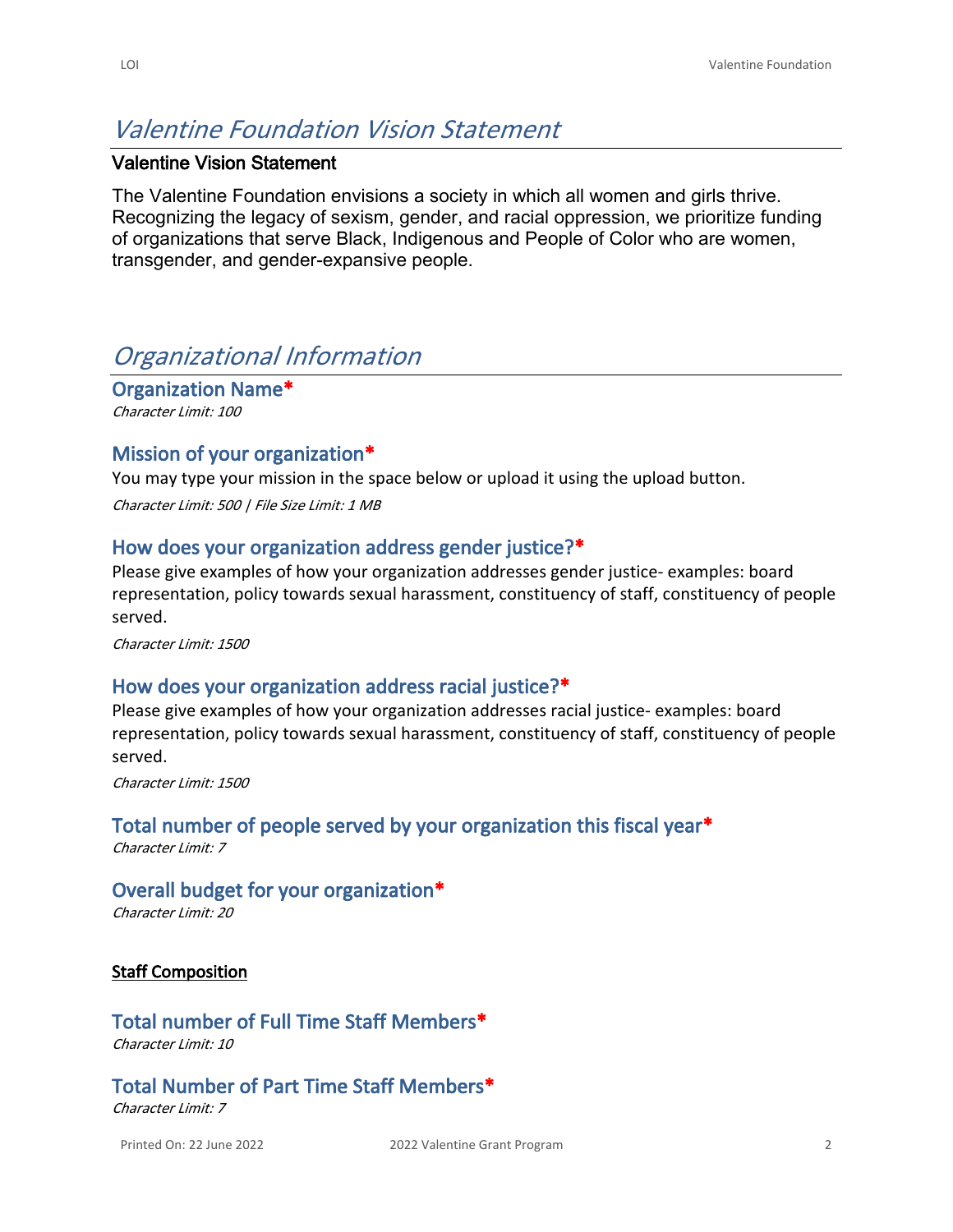# *Valentine Foundation Vision Statement*

#### **Valentine Vision Statement**

The Valentine Foundation envisions a society in which all women and girls thrive. Recognizing the legacy of sexism, gender, and racial oppression, we prioritize funding of organizations that serve Black, Indigenous and People of Color who are women, transgender, and gender-expansive people.

# *Organizational Information*

**Organization Name\*** *Character Limit: 100*

#### **Mission of your organization\***

You may type your mission in the space below or upload it using the upload button. *Character Limit: 500 | File Size Limit: 1 MB*

#### **How does your organization address gender justice?\***

Please give examples of how your organization addresses gender justice- examples: board representation, policy towards sexual harassment, constituency of staff, constituency of people served.

*Character Limit: 1500*

#### **How does your organization address racial justice?\***

Please give examples of how your organization addresses racial justice- examples: board representation, policy towards sexual harassment, constituency of staff, constituency of people served.

*Character Limit: 1500*

## **Total number of people served by your organization this fiscal year\***

*Character Limit: 7*

#### **Overall budget for your organization\***

*Character Limit: 20*

#### **Staff Composition**

# **Total number of Full Time Staff Members\***

*Character Limit: 10*

# **Total Number of Part Time Staff Members\***

*Character Limit: 7*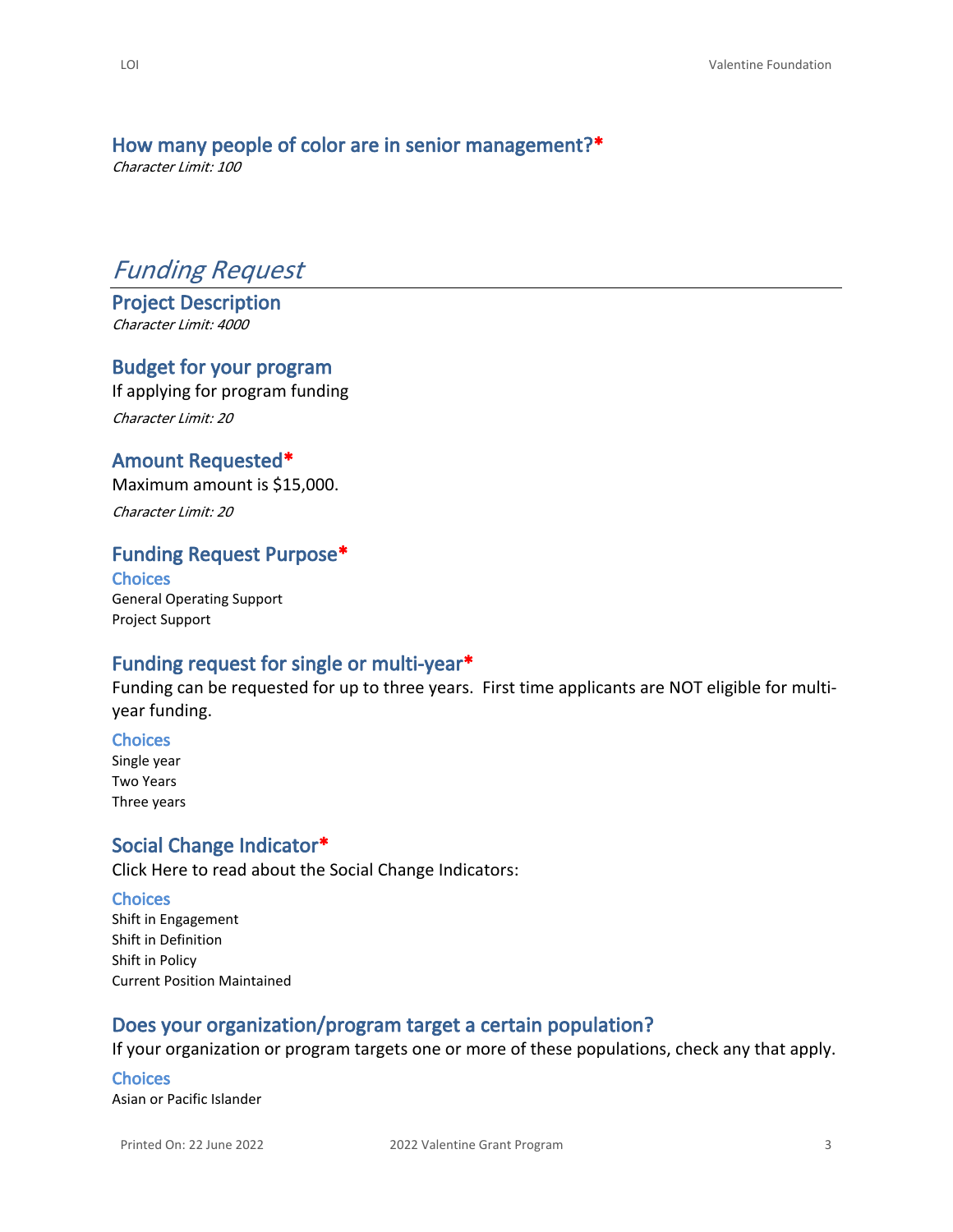# **How many people of color are in senior management?\***

*Character Limit: 100*

# *Funding Request*

**Project Description** *Character Limit: 4000*

#### **Budget for your program**

If applying for program funding *Character Limit: 20*

#### **Amount Requested\***

Maximum amount is \$15,000. *Character Limit: 20*

#### **Funding Request Purpose\***

**Choices** General Operating Support Project Support

#### **Funding request for single or multi-year\***

Funding can be requested for up to three years. First time applicants are NOT eligible for multiyear funding.

**Choices** Single year

Two Years Three years

#### **Social Change Indicator\***

[Click Here](https://www.valentinefoundation.org/wp-content/uploads/2021/02/2021The-Social-Change-Indicators-Matrix_UpdatedNov2019_rev362796.docx) to read about the Social Change Indicators:

#### **Choices**

Shift in Engagement Shift in Definition Shift in Policy Current Position Maintained

## **Does your organization/program target a certain population?**

If your organization or program targets one or more of these populations, check any that apply.

**Choices** Asian or Pacific Islander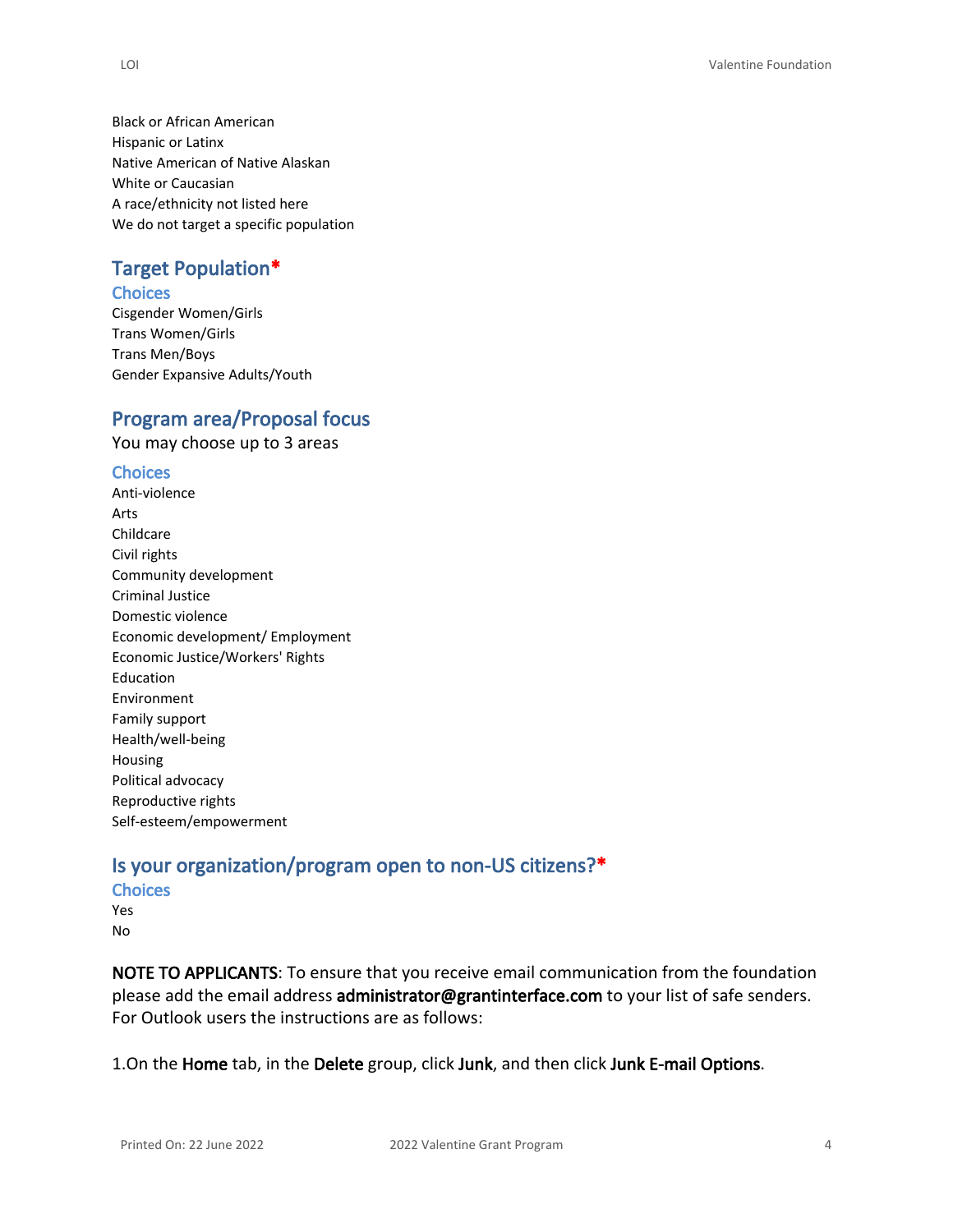Black or African American Hispanic or Latinx Native American of Native Alaskan White or Caucasian A race/ethnicity not listed here We do not target a specific population

### **Target Population\***

#### **Choices**

Cisgender Women/Girls Trans Women/Girls Trans Men/Boys Gender Expansive Adults/Youth

#### **Program area/Proposal focus**

You may choose up to 3 areas

#### **Choices**

Anti-violence Arts Childcare Civil rights Community development Criminal Justice Domestic violence Economic development/ Employment Economic Justice/Workers' Rights Education Environment Family support Health/well-being Housing Political advocacy Reproductive rights Self-esteem/empowerment

## **Is your organization/program open to non-US citizens?\***

- **Choices**
- Yes No

**NOTE TO APPLICANTS**: To ensure that you receive email communication from the foundation please add the email address **administrator@grantinterface.com** to your list of safe senders. For Outlook users the instructions are as follows:

1.On the **Home** tab, in the **Delete** group, click **Junk**, and then click **Junk E-mail Options**.